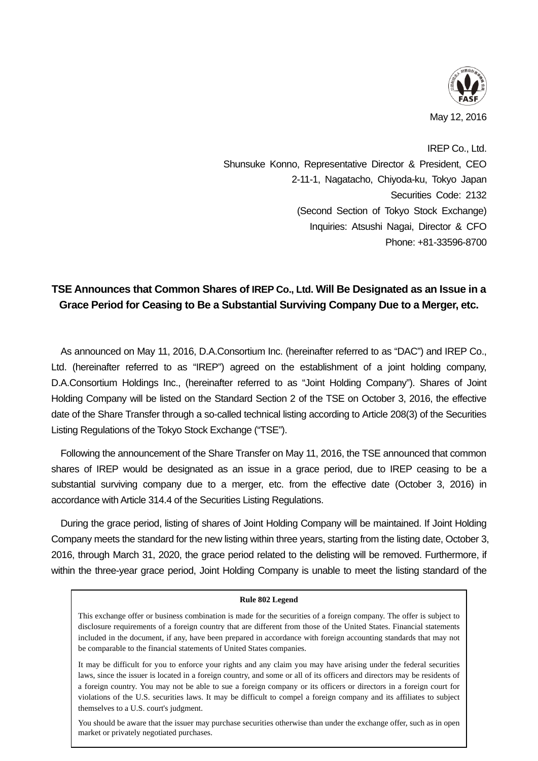

IREP Co., Ltd. Shunsuke Konno, Representative Director & President, CEO 2-11-1, Nagatacho, Chiyoda-ku, Tokyo Japan Securities Code: 2132 (Second Section of Tokyo Stock Exchange) Inquiries: Atsushi Nagai, Director & CFO Phone: +81-33596-8700

## **TSE Announces that Common Shares of IREP Co., Ltd. Will Be Designated as an Issue in a Grace Period for Ceasing to Be a Substantial Surviving Company Due to a Merger, etc.**

As announced on May 11, 2016, D.A.Consortium Inc. (hereinafter referred to as "DAC") and IREP Co., Ltd. (hereinafter referred to as "IREP") agreed on the establishment of a joint holding company, D.A.Consortium Holdings Inc., (hereinafter referred to as "Joint Holding Company"). Shares of Joint Holding Company will be listed on the Standard Section 2 of the TSE on October 3, 2016, the effective date of the Share Transfer through a so-called technical listing according to Article 208(3) of the Securities Listing Regulations of the Tokyo Stock Exchange ("TSE").

Following the announcement of the Share Transfer on May 11, 2016, the TSE announced that common shares of IREP would be designated as an issue in a grace period, due to IREP ceasing to be a substantial surviving company due to a merger, etc. from the effective date (October 3, 2016) in accordance with Article 314.4 of the Securities Listing Regulations.

During the grace period, listing of shares of Joint Holding Company will be maintained. If Joint Holding Company meets the standard for the new listing within three years, starting from the listing date, October 3, 2016, through March 31, 2020, the grace period related to the delisting will be removed. Furthermore, if within the three-year grace period, Joint Holding Company is unable to meet the listing standard of the

## **Rule 802 Legend**

This exchange offer or business combination is made for the securities of a foreign company. The offer is subject to disclosure requirements of a foreign country that are different from those of the United States. Financial statements included in the document, if any, have been prepared in accordance with foreign accounting standards that may not be comparable to the financial statements of United States companies.

It may be difficult for you to enforce your rights and any claim you may have arising under the federal securities laws, since the issuer is located in a foreign country, and some or all of its officers and directors may be residents of a foreign country. You may not be able to sue a foreign company or its officers or directors in a foreign court for violations of the U.S. securities laws. It may be difficult to compel a foreign company and its affiliates to subject themselves to a U.S. court's judgment.

You should be aware that the issuer may purchase securities otherwise than under the exchange offer, such as in open market or privately negotiated purchases.